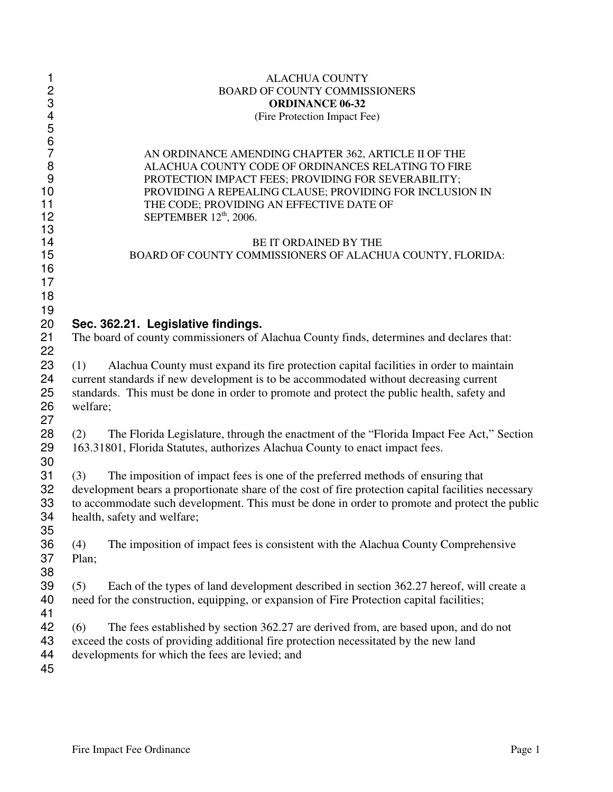| $\mathbf{1}$               | <b>ALACHUA COUNTY</b>                                                                                                                                                                                                                  |  |  |  |  |
|----------------------------|----------------------------------------------------------------------------------------------------------------------------------------------------------------------------------------------------------------------------------------|--|--|--|--|
| $\overline{\mathbf{c}}$    | <b>BOARD OF COUNTY COMMISSIONERS</b>                                                                                                                                                                                                   |  |  |  |  |
| 3                          | <b>ORDINANCE 06-32</b>                                                                                                                                                                                                                 |  |  |  |  |
| $\overline{\mathbf{4}}$    | (Fire Protection Impact Fee)                                                                                                                                                                                                           |  |  |  |  |
| 5<br>6<br>7                | AN ORDINANCE AMENDING CHAPTER 362, ARTICLE II OF THE                                                                                                                                                                                   |  |  |  |  |
| 8                          | ALACHUA COUNTY CODE OF ORDINANCES RELATING TO FIRE                                                                                                                                                                                     |  |  |  |  |
| 9                          | PROTECTION IMPACT FEES; PROVIDING FOR SEVERABILITY;                                                                                                                                                                                    |  |  |  |  |
| 10                         | PROVIDING A REPEALING CLAUSE; PROVIDING FOR INCLUSION IN                                                                                                                                                                               |  |  |  |  |
| 11                         | THE CODE; PROVIDING AN EFFECTIVE DATE OF                                                                                                                                                                                               |  |  |  |  |
| 12                         | SEPTEMBER 12 <sup>th</sup> , 2006.                                                                                                                                                                                                     |  |  |  |  |
| 13<br>14<br>15<br>16<br>17 | BE IT ORDAINED BY THE<br>BOARD OF COUNTY COMMISSIONERS OF ALACHUA COUNTY, FLORIDA:                                                                                                                                                     |  |  |  |  |
| 18<br>19<br>20<br>21       | Sec. 362.21. Legislative findings.<br>The board of county commissioners of Alachua County finds, determines and declares that:                                                                                                         |  |  |  |  |
| 22                         | Alachua County must expand its fire protection capital facilities in order to maintain                                                                                                                                                 |  |  |  |  |
| 23                         | (1)                                                                                                                                                                                                                                    |  |  |  |  |
| 24                         | current standards if new development is to be accommodated without decreasing current                                                                                                                                                  |  |  |  |  |
| 25                         | standards. This must be done in order to promote and protect the public health, safety and                                                                                                                                             |  |  |  |  |
| 26                         | welfare;                                                                                                                                                                                                                               |  |  |  |  |
| 27<br>28<br>29<br>30       | The Florida Legislature, through the enactment of the "Florida Impact Fee Act," Section<br>(2)<br>163.31801, Florida Statutes, authorizes Alachua County to enact impact fees.                                                         |  |  |  |  |
| 31                         | The imposition of impact fees is one of the preferred methods of ensuring that                                                                                                                                                         |  |  |  |  |
| 32                         | (3)                                                                                                                                                                                                                                    |  |  |  |  |
| 33                         | development bears a proportionate share of the cost of fire protection capital facilities necessary                                                                                                                                    |  |  |  |  |
| 34                         | to accommodate such development. This must be done in order to promote and protect the public                                                                                                                                          |  |  |  |  |
| 35                         | health, safety and welfare;                                                                                                                                                                                                            |  |  |  |  |
| 36                         | The imposition of impact fees is consistent with the Alachua County Comprehensive                                                                                                                                                      |  |  |  |  |
| 37                         | (4)                                                                                                                                                                                                                                    |  |  |  |  |
| 38                         | Plan;                                                                                                                                                                                                                                  |  |  |  |  |
| 39<br>40                   | Each of the types of land development described in section 362.27 hereof, will create a<br>(5)<br>need for the construction, equipping, or expansion of Fire Protection capital facilities;                                            |  |  |  |  |
| 41<br>42<br>43<br>44<br>45 | The fees established by section 362.27 are derived from, are based upon, and do not<br>(6)<br>exceed the costs of providing additional fire protection necessitated by the new land<br>developments for which the fees are levied; and |  |  |  |  |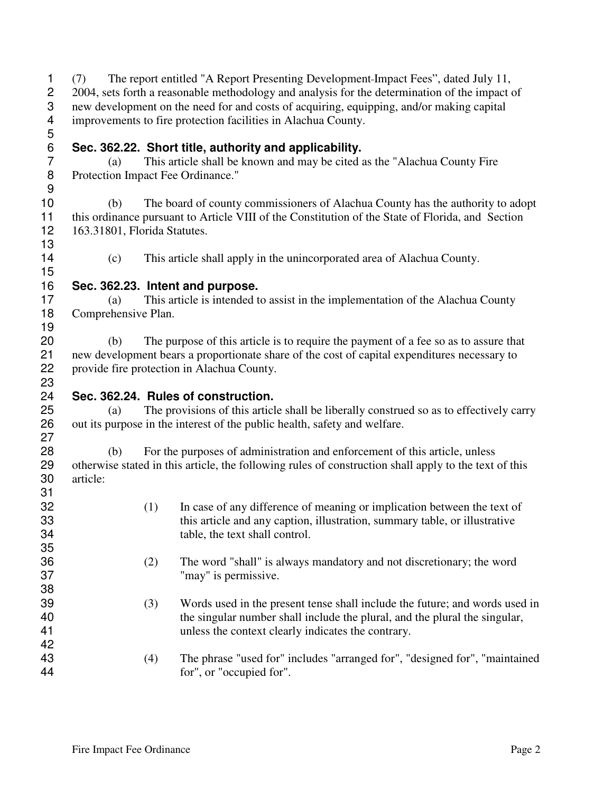(7) The report entitled "A Report Presenting Development Impact Fees", dated July 11, 2 2004, sets forth a reasonable methodology and analysis for the determination of the impact of new development on the need for and costs of acquiring, equipping, and/or making capital improvements to fire protection facilities in Alachua County. 

# **Sec. 362.22. Short title, authority and applicability.**

 (a) This article shall be known and may be cited as the "Alachua County Fire Protection Impact Fee Ordinance." 

 (b) The board of county commissioners of Alachua County has the authority to adopt this ordinance pursuant to Article VIII of the Constitution of the State of Florida, and Section 163.31801, Florida Statutes. 

(c) This article shall apply in the unincorporated area of Alachua County.

### **Sec. 362.23. Intent and purpose.**

 (a) This article is intended to assist in the implementation of the Alachua County Comprehensive Plan. 

 (b) The purpose of this article is to require the payment of a fee so as to assure that new development bears a proportionate share of the cost of capital expenditures necessary to provide fire protection in Alachua County.

#### 23<br>24 **Sec. 362.24. Rules of construction.**

 (a) The provisions of this article shall be liberally construed so as to effectively carry out its purpose in the interest of the public health, safety and welfare.

 (b) For the purposes of administration and enforcement of this article, unless otherwise stated in this article, the following rules of construction shall apply to the text of this article:

| 31 |     |                                                                             |
|----|-----|-----------------------------------------------------------------------------|
| 32 | (1) | In case of any difference of meaning or implication between the text of     |
| 33 |     | this article and any caption, illustration, summary table, or illustrative  |
| 34 |     | table, the text shall control.                                              |
| 35 |     |                                                                             |
| 36 | (2) | The word "shall" is always mandatory and not discretionary; the word        |
| 37 |     | "may" is permissive.                                                        |
| 38 |     |                                                                             |
| 39 | (3) | Words used in the present tense shall include the future; and words used in |
| 40 |     | the singular number shall include the plural, and the plural the singular,  |
| 41 |     | unless the context clearly indicates the contrary.                          |
| 42 |     |                                                                             |
| 43 | (4) | The phrase "used for" includes "arranged for", "designed for", "maintained  |
| 44 |     | for", or "occupied for".                                                    |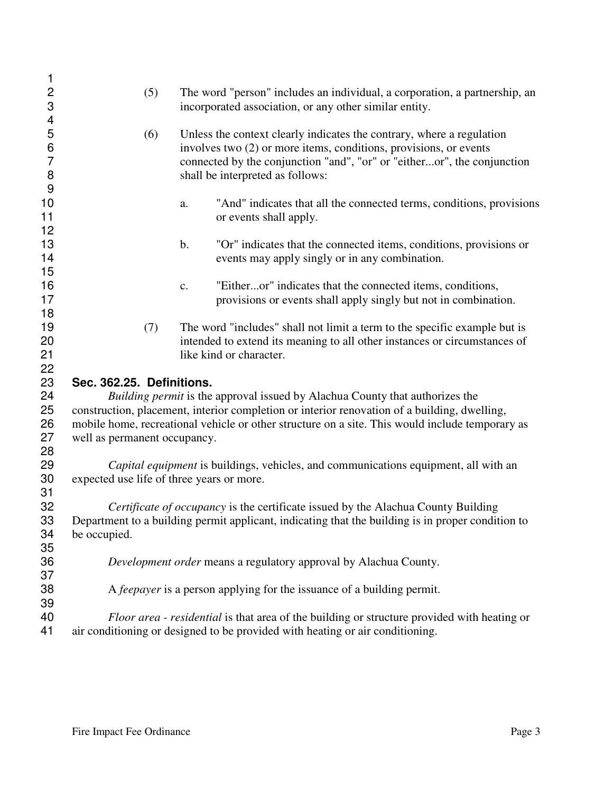| 1<br>$\mathbf 2$<br>$\ensuremath{\mathsf{3}}$ | (5)                                                                                                                                                                          | The word "person" includes an individual, a corporation, a partnership, an<br>incorporated association, or any other similar entity.                                                                                                                      |  |  |  |
|-----------------------------------------------|------------------------------------------------------------------------------------------------------------------------------------------------------------------------------|-----------------------------------------------------------------------------------------------------------------------------------------------------------------------------------------------------------------------------------------------------------|--|--|--|
| 4<br>5<br>$\, 6$<br>$\overline{7}$<br>8       | (6)                                                                                                                                                                          | Unless the context clearly indicates the contrary, where a regulation<br>involves two (2) or more items, conditions, provisions, or events<br>connected by the conjunction "and", "or" or "eitheror", the conjunction<br>shall be interpreted as follows: |  |  |  |
| $9$                                           |                                                                                                                                                                              |                                                                                                                                                                                                                                                           |  |  |  |
| 10<br>11                                      |                                                                                                                                                                              | "And" indicates that all the connected terms, conditions, provisions<br>a.<br>or events shall apply.                                                                                                                                                      |  |  |  |
| 12                                            |                                                                                                                                                                              |                                                                                                                                                                                                                                                           |  |  |  |
| 13<br>14                                      |                                                                                                                                                                              | "Or" indicates that the connected items, conditions, provisions or<br>b.<br>events may apply singly or in any combination.                                                                                                                                |  |  |  |
| 15                                            |                                                                                                                                                                              |                                                                                                                                                                                                                                                           |  |  |  |
| 16                                            |                                                                                                                                                                              | "Eitheror" indicates that the connected items, conditions,<br>$\mathbf{c}$ .                                                                                                                                                                              |  |  |  |
| 17<br>18                                      |                                                                                                                                                                              | provisions or events shall apply singly but not in combination.                                                                                                                                                                                           |  |  |  |
| 19<br>20                                      | (7)                                                                                                                                                                          | The word "includes" shall not limit a term to the specific example but is<br>intended to extend its meaning to all other instances or circumstances of                                                                                                    |  |  |  |
| 21                                            |                                                                                                                                                                              | like kind or character.                                                                                                                                                                                                                                   |  |  |  |
| 22                                            |                                                                                                                                                                              |                                                                                                                                                                                                                                                           |  |  |  |
| 23                                            | Sec. 362.25. Definitions.                                                                                                                                                    |                                                                                                                                                                                                                                                           |  |  |  |
| 24                                            | Building permit is the approval issued by Alachua County that authorizes the                                                                                                 |                                                                                                                                                                                                                                                           |  |  |  |
| 25                                            | construction, placement, interior completion or interior renovation of a building, dwelling,                                                                                 |                                                                                                                                                                                                                                                           |  |  |  |
| 26                                            | mobile home, recreational vehicle or other structure on a site. This would include temporary as                                                                              |                                                                                                                                                                                                                                                           |  |  |  |
| 27                                            | well as permanent occupancy.                                                                                                                                                 |                                                                                                                                                                                                                                                           |  |  |  |
| 28                                            |                                                                                                                                                                              |                                                                                                                                                                                                                                                           |  |  |  |
| 29                                            | Capital equipment is buildings, vehicles, and communications equipment, all with an<br>expected use life of three years or more.                                             |                                                                                                                                                                                                                                                           |  |  |  |
| 30<br>31                                      |                                                                                                                                                                              |                                                                                                                                                                                                                                                           |  |  |  |
| 32                                            |                                                                                                                                                                              | Certificate of occupancy is the certificate issued by the Alachua County Building                                                                                                                                                                         |  |  |  |
| 33                                            | Department to a building permit applicant, indicating that the building is in proper condition to                                                                            |                                                                                                                                                                                                                                                           |  |  |  |
| 34                                            | be occupied.                                                                                                                                                                 |                                                                                                                                                                                                                                                           |  |  |  |
| 35                                            |                                                                                                                                                                              |                                                                                                                                                                                                                                                           |  |  |  |
| 36                                            | Development order means a regulatory approval by Alachua County.                                                                                                             |                                                                                                                                                                                                                                                           |  |  |  |
| 37                                            |                                                                                                                                                                              |                                                                                                                                                                                                                                                           |  |  |  |
| 38                                            | A <i>feepayer</i> is a person applying for the issuance of a building permit.                                                                                                |                                                                                                                                                                                                                                                           |  |  |  |
| 39                                            |                                                                                                                                                                              |                                                                                                                                                                                                                                                           |  |  |  |
| 40<br>41                                      | Floor area - residential is that area of the building or structure provided with heating or<br>air conditioning or designed to be provided with heating or air conditioning. |                                                                                                                                                                                                                                                           |  |  |  |
|                                               |                                                                                                                                                                              |                                                                                                                                                                                                                                                           |  |  |  |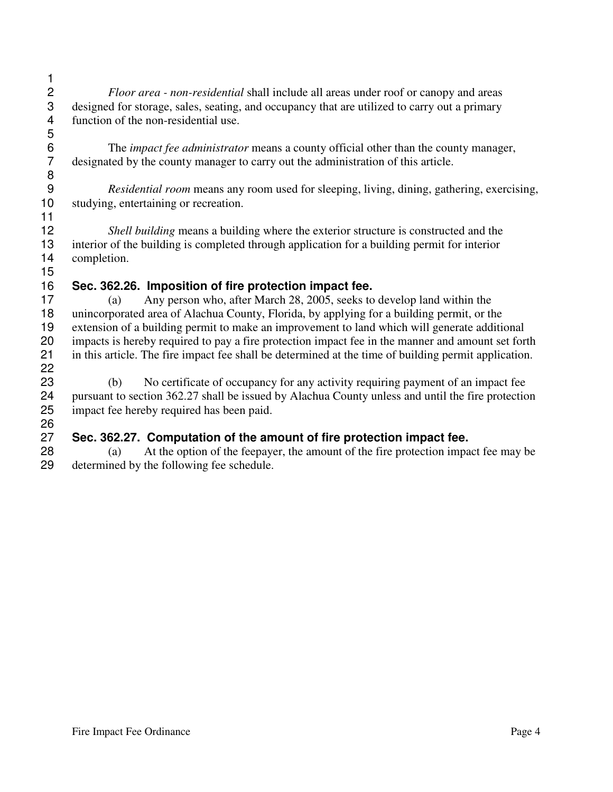- 2 *Floor area - non-residential* shall include all areas under roof or canopy and areas designed for storage, sales, seating, and occupancy that are utilized to carry out a primary designed for storage, sales, seating, and occupancy that are utilized to carry out a primary function of the non-residential use.
- 6 The *impact fee administrator* means a county official other than the county manager,<br>7 designated by the county manager to carry out the administration of this article. designated by the county manager to carry out the administration of this article.

 *Residential room* means any room used for sleeping, living, dining, gathering, exercising, studying, entertaining or recreation.

 *Shell building* means a building where the exterior structure is constructed and the interior of the building is completed through application for a building permit for interior completion. 

### **Sec. 362.26. Imposition of fire protection impact fee.**

 (a) Any person who, after March 28, 2005, seeks to develop land within the unincorporated area of Alachua County, Florida, by applying for a building permit, or the extension of a building permit to make an improvement to land which will generate additional impacts is hereby required to pay a fire protection impact fee in the manner and amount set forth in this article. The fire impact fee shall be determined at the time of building permit application. 

 (b) No certificate of occupancy for any activity requiring payment of an impact fee pursuant to section 362.27 shall be issued by Alachua County unless and until the fire protection impact fee hereby required has been paid.

# **Sec. 362.27. Computation of the amount of fire protection impact fee.**

 (a) At the option of the feepayer, the amount of the fire protection impact fee may be determined by the following fee schedule.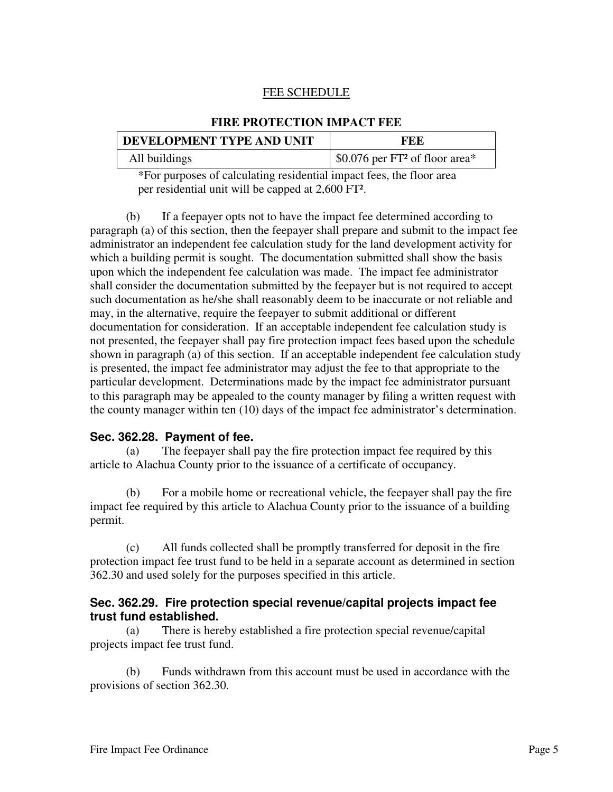#### FEE SCHEDULE

## **DEVELOPMENT TYPE AND UNIT FEE** All buildings  $\frac{1}{2}$  \$0.076 per FT<sup>2</sup> of floor area\*

**FIRE PROTECTION IMPACT FEE**

\*For purposes of calculating residential impact fees, the floor area per residential unit will be capped at 2,600 FT².

(b) If a feepayer opts not to have the impact fee determined according to paragraph (a) of this section, then the feepayer shall prepare and submit to the impact fee administrator an independent fee calculation study for the land development activity for which a building permit is sought. The documentation submitted shall show the basis upon which the independent fee calculation was made. The impact fee administrator shall consider the documentation submitted by the feepayer but is not required to accept such documentation as he/she shall reasonably deem to be inaccurate or not reliable and may, in the alternative, require the feepayer to submit additional or different documentation for consideration. If an acceptable independent fee calculation study is not presented, the feepayer shall pay fire protection impact fees based upon the schedule shown in paragraph (a) of this section. If an acceptable independent fee calculation study is presented, the impact fee administrator may adjust the fee to that appropriate to the particular development. Determinations made by the impact fee administrator pursuant to this paragraph may be appealed to the county manager by filing a written request with the county manager within ten (10) days of the impact fee administrator's determination.

#### **Sec. 362.28. Payment of fee.**

(a) The feepayer shall pay the fire protection impact fee required by this article to Alachua County prior to the issuance of a certificate of occupancy.

(b) For a mobile home or recreational vehicle, the feepayer shall pay the fire impact fee required by this article to Alachua County prior to the issuance of a building permit.

(c) All funds collected shall be promptly transferred for deposit in the fire protection impact fee trust fund to be held in a separate account as determined in section 362.30 and used solely for the purposes specified in this article.

#### **Sec. 362.29. Fire protection special revenue/capital projects impact fee trust fund established.**

(a) There is hereby established a fire protection special revenue/capital projects impact fee trust fund.

(b) Funds withdrawn from this account must be used in accordance with the provisions of section 362.30.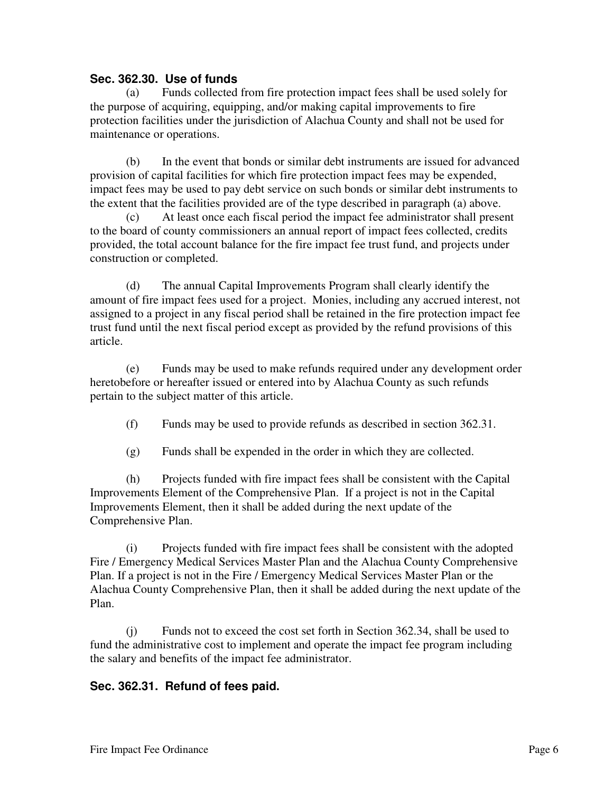#### **Sec. 362.30. Use of funds**

(a) Funds collected from fire protection impact fees shall be used solely for the purpose of acquiring, equipping, and/or making capital improvements to fire protection facilities under the jurisdiction of Alachua County and shall not be used for maintenance or operations.

(b) In the event that bonds or similar debt instruments are issued for advanced provision of capital facilities for which fire protection impact fees may be expended, impact fees may be used to pay debt service on such bonds or similar debt instruments to the extent that the facilities provided are of the type described in paragraph (a) above.

(c) At least once each fiscal period the impact fee administrator shall present to the board of county commissioners an annual report of impact fees collected, credits provided, the total account balance for the fire impact fee trust fund, and projects under construction or completed.

(d) The annual Capital Improvements Program shall clearly identify the amount of fire impact fees used for a project. Monies, including any accrued interest, not assigned to a project in any fiscal period shall be retained in the fire protection impact fee trust fund until the next fiscal period except as provided by the refund provisions of this article.

(e) Funds may be used to make refunds required under any development order heretobefore or hereafter issued or entered into by Alachua County as such refunds pertain to the subject matter of this article.

- (f) Funds may be used to provide refunds as described in section 362.31.
- (g) Funds shall be expended in the order in which they are collected.

(h) Projects funded with fire impact fees shall be consistent with the Capital Improvements Element of the Comprehensive Plan. If a project is not in the Capital Improvements Element, then it shall be added during the next update of the Comprehensive Plan.

(i) Projects funded with fire impact fees shall be consistent with the adopted Fire / Emergency Medical Services Master Plan and the Alachua County Comprehensive Plan. If a project is not in the Fire / Emergency Medical Services Master Plan or the Alachua County Comprehensive Plan, then it shall be added during the next update of the Plan.

(j) Funds not to exceed the cost set forth in Section 362.34, shall be used to fund the administrative cost to implement and operate the impact fee program including the salary and benefits of the impact fee administrator.

#### **Sec. 362.31. Refund of fees paid.**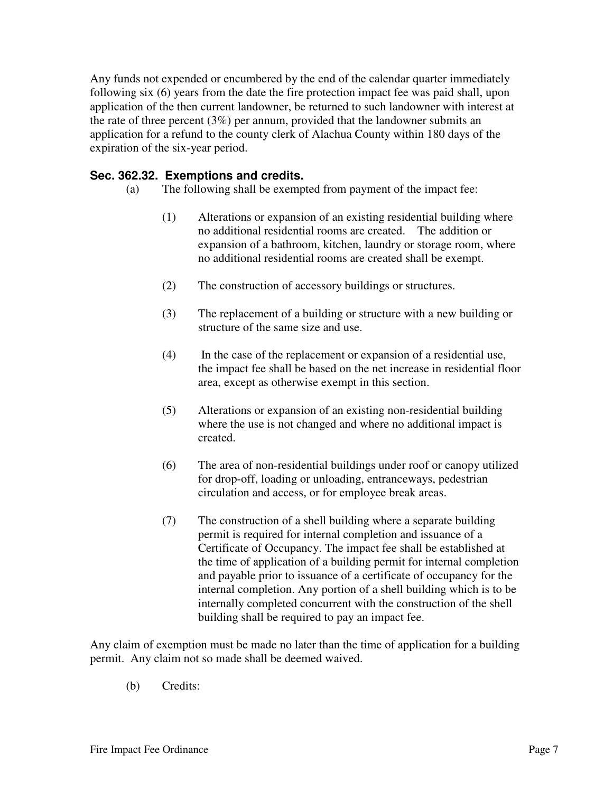Any funds not expended or encumbered by the end of the calendar quarter immediately following six (6) years from the date the fire protection impact fee was paid shall, upon application of the then current landowner, be returned to such landowner with interest at the rate of three percent (3%) per annum, provided that the landowner submits an application for a refund to the county clerk of Alachua County within 180 days of the expiration of the six-year period.

#### **Sec. 362.32. Exemptions and credits.**

- (a) The following shall be exempted from payment of the impact fee:
	- (1) Alterations or expansion of an existing residential building where no additional residential rooms are created. The addition or expansion of a bathroom, kitchen, laundry or storage room, where no additional residential rooms are created shall be exempt.
	- (2) The construction of accessory buildings or structures.
	- (3) The replacement of a building or structure with a new building or structure of the same size and use.
	- (4) In the case of the replacement or expansion of a residential use, the impact fee shall be based on the net increase in residential floor area, except as otherwise exempt in this section.
	- (5) Alterations or expansion of an existing non-residential building where the use is not changed and where no additional impact is created.
	- (6) The area of non-residential buildings under roof or canopy utilized for drop-off, loading or unloading, entranceways, pedestrian circulation and access, or for employee break areas.
	- (7) The construction of a shell building where a separate building permit is required for internal completion and issuance of a Certificate of Occupancy. The impact fee shall be established at the time of application of a building permit for internal completion and payable prior to issuance of a certificate of occupancy for the internal completion. Any portion of a shell building which is to be internally completed concurrent with the construction of the shell building shall be required to pay an impact fee.

Any claim of exemption must be made no later than the time of application for a building permit. Any claim not so made shall be deemed waived.

(b) Credits: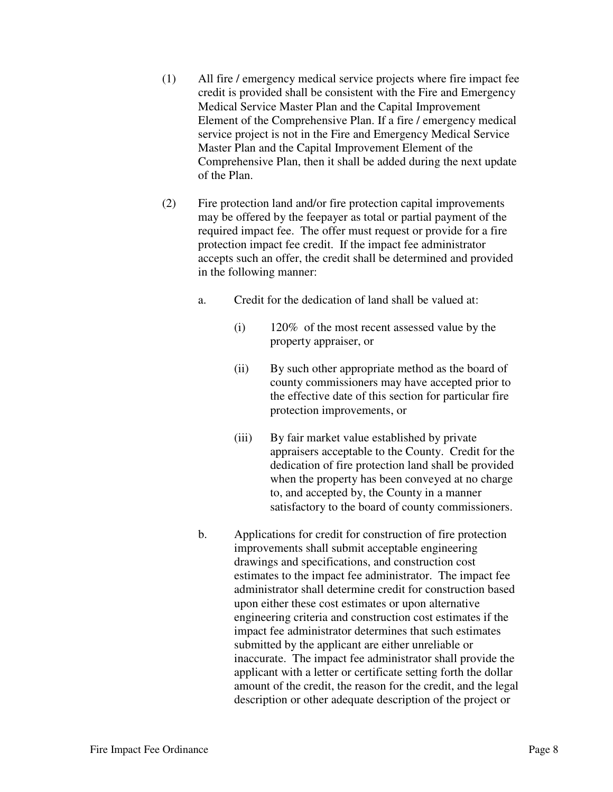- (1) All fire / emergency medical service projects where fire impact fee credit is provided shall be consistent with the Fire and Emergency Medical Service Master Plan and the Capital Improvement Element of the Comprehensive Plan. If a fire / emergency medical service project is not in the Fire and Emergency Medical Service Master Plan and the Capital Improvement Element of the Comprehensive Plan, then it shall be added during the next update of the Plan.
- (2) Fire protection land and/or fire protection capital improvements may be offered by the feepayer as total or partial payment of the required impact fee. The offer must request or provide for a fire protection impact fee credit. If the impact fee administrator accepts such an offer, the credit shall be determined and provided in the following manner:
	- a. Credit for the dedication of land shall be valued at:
		- (i) 120% of the most recent assessed value by the property appraiser, or
		- (ii) By such other appropriate method as the board of county commissioners may have accepted prior to the effective date of this section for particular fire protection improvements, or
		- (iii) By fair market value established by private appraisers acceptable to the County. Credit for the dedication of fire protection land shall be provided when the property has been conveyed at no charge to, and accepted by, the County in a manner satisfactory to the board of county commissioners.
	- b. Applications for credit for construction of fire protection improvements shall submit acceptable engineering drawings and specifications, and construction cost estimates to the impact fee administrator. The impact fee administrator shall determine credit for construction based upon either these cost estimates or upon alternative engineering criteria and construction cost estimates if the impact fee administrator determines that such estimates submitted by the applicant are either unreliable or inaccurate. The impact fee administrator shall provide the applicant with a letter or certificate setting forth the dollar amount of the credit, the reason for the credit, and the legal description or other adequate description of the project or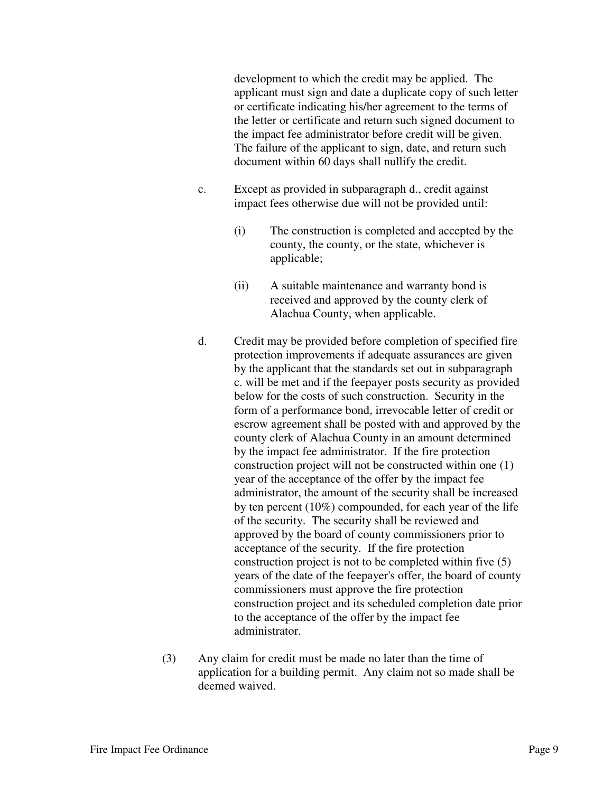development to which the credit may be applied. The applicant must sign and date a duplicate copy of such letter or certificate indicating his/her agreement to the terms of the letter or certificate and return such signed document to the impact fee administrator before credit will be given. The failure of the applicant to sign, date, and return such document within 60 days shall nullify the credit.

- c. Except as provided in subparagraph d., credit against impact fees otherwise due will not be provided until:
	- (i) The construction is completed and accepted by the county, the county, or the state, whichever is applicable;
	- (ii) A suitable maintenance and warranty bond is received and approved by the county clerk of Alachua County, when applicable.
- d. Credit may be provided before completion of specified fire protection improvements if adequate assurances are given by the applicant that the standards set out in subparagraph c. will be met and if the feepayer posts security as provided below for the costs of such construction. Security in the form of a performance bond, irrevocable letter of credit or escrow agreement shall be posted with and approved by the county clerk of Alachua County in an amount determined by the impact fee administrator. If the fire protection construction project will not be constructed within one (1) year of the acceptance of the offer by the impact fee administrator, the amount of the security shall be increased by ten percent (10%) compounded, for each year of the life of the security. The security shall be reviewed and approved by the board of county commissioners prior to acceptance of the security. If the fire protection construction project is not to be completed within five (5) years of the date of the feepayer's offer, the board of county commissioners must approve the fire protection construction project and its scheduled completion date prior to the acceptance of the offer by the impact fee administrator.
- (3) Any claim for credit must be made no later than the time of application for a building permit. Any claim not so made shall be deemed waived.